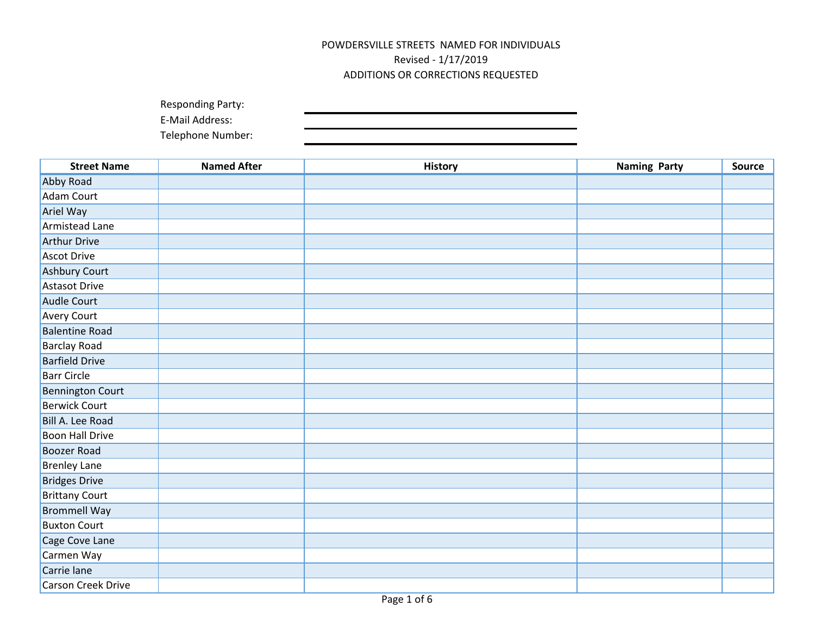| <b>Responding Party:</b> |  |
|--------------------------|--|
| E-Mail Address:          |  |

| <b>Street Name</b>      | <b>Named After</b> | <b>History</b> | <b>Naming Party</b> | <b>Source</b> |
|-------------------------|--------------------|----------------|---------------------|---------------|
| Abby Road               |                    |                |                     |               |
| <b>Adam Court</b>       |                    |                |                     |               |
| Ariel Way               |                    |                |                     |               |
| Armistead Lane          |                    |                |                     |               |
| <b>Arthur Drive</b>     |                    |                |                     |               |
| <b>Ascot Drive</b>      |                    |                |                     |               |
| Ashbury Court           |                    |                |                     |               |
| <b>Astasot Drive</b>    |                    |                |                     |               |
| Audle Court             |                    |                |                     |               |
| Avery Court             |                    |                |                     |               |
| <b>Balentine Road</b>   |                    |                |                     |               |
| <b>Barclay Road</b>     |                    |                |                     |               |
| <b>Barfield Drive</b>   |                    |                |                     |               |
| <b>Barr Circle</b>      |                    |                |                     |               |
| <b>Bennington Court</b> |                    |                |                     |               |
| <b>Berwick Court</b>    |                    |                |                     |               |
| Bill A. Lee Road        |                    |                |                     |               |
| <b>Boon Hall Drive</b>  |                    |                |                     |               |
| <b>Boozer Road</b>      |                    |                |                     |               |
| <b>Brenley Lane</b>     |                    |                |                     |               |
| <b>Bridges Drive</b>    |                    |                |                     |               |
| <b>Brittany Court</b>   |                    |                |                     |               |
| <b>Brommell Way</b>     |                    |                |                     |               |
| <b>Buxton Court</b>     |                    |                |                     |               |
| Cage Cove Lane          |                    |                |                     |               |
| Carmen Way              |                    |                |                     |               |
| Carrie lane             |                    |                |                     |               |
| Carson Creek Drive      |                    |                |                     |               |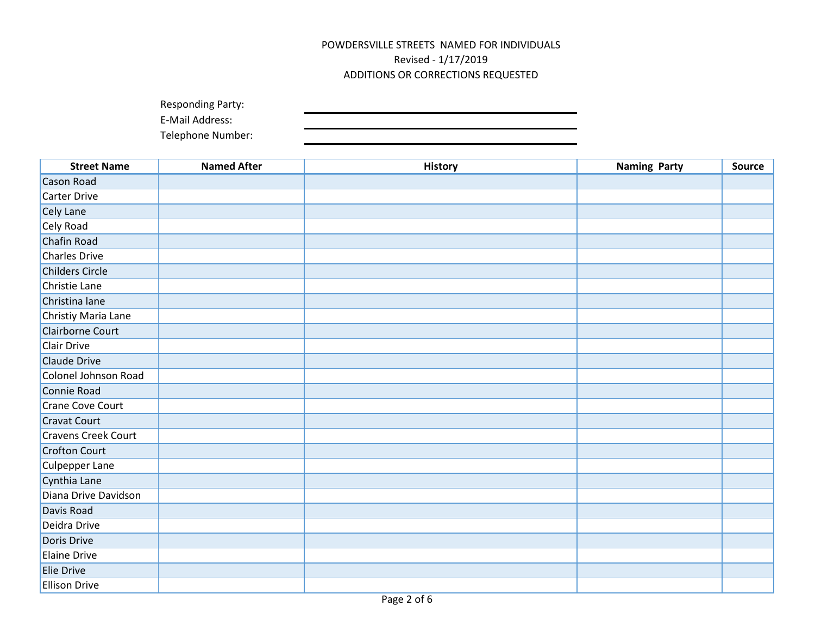| <b>Responding Party:</b> |  |
|--------------------------|--|
| E-Mail Address:          |  |

| <b>Street Name</b>         | <b>Named After</b> | <b>History</b> | <b>Naming Party</b> | <b>Source</b> |
|----------------------------|--------------------|----------------|---------------------|---------------|
| <b>Cason Road</b>          |                    |                |                     |               |
| Carter Drive               |                    |                |                     |               |
| Cely Lane                  |                    |                |                     |               |
| Cely Road                  |                    |                |                     |               |
| Chafin Road                |                    |                |                     |               |
| <b>Charles Drive</b>       |                    |                |                     |               |
| <b>Childers Circle</b>     |                    |                |                     |               |
| Christie Lane              |                    |                |                     |               |
| Christina lane             |                    |                |                     |               |
| Christiy Maria Lane        |                    |                |                     |               |
| Clairborne Court           |                    |                |                     |               |
| <b>Clair Drive</b>         |                    |                |                     |               |
| Claude Drive               |                    |                |                     |               |
| Colonel Johnson Road       |                    |                |                     |               |
| Connie Road                |                    |                |                     |               |
| Crane Cove Court           |                    |                |                     |               |
| <b>Cravat Court</b>        |                    |                |                     |               |
| <b>Cravens Creek Court</b> |                    |                |                     |               |
| Crofton Court              |                    |                |                     |               |
| <b>Culpepper Lane</b>      |                    |                |                     |               |
| Cynthia Lane               |                    |                |                     |               |
| Diana Drive Davidson       |                    |                |                     |               |
| Davis Road                 |                    |                |                     |               |
| Deidra Drive               |                    |                |                     |               |
| Doris Drive                |                    |                |                     |               |
| <b>Elaine Drive</b>        |                    |                |                     |               |
| Elie Drive                 |                    |                |                     |               |
| <b>Ellison Drive</b>       |                    |                |                     |               |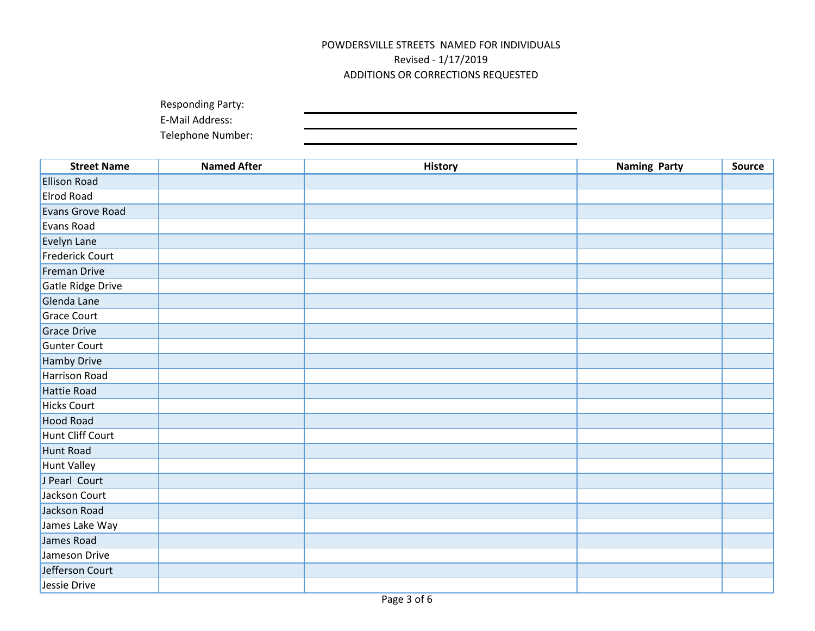| <b>Responding Party:</b> |  |
|--------------------------|--|
| E-Mail Address:          |  |

| <b>Street Name</b>     | <b>Named After</b> | <b>History</b> | <b>Naming Party</b> | Source |
|------------------------|--------------------|----------------|---------------------|--------|
| <b>Ellison Road</b>    |                    |                |                     |        |
| <b>Elrod Road</b>      |                    |                |                     |        |
| Evans Grove Road       |                    |                |                     |        |
| Evans Road             |                    |                |                     |        |
| Evelyn Lane            |                    |                |                     |        |
| <b>Frederick Court</b> |                    |                |                     |        |
| Freman Drive           |                    |                |                     |        |
| Gatle Ridge Drive      |                    |                |                     |        |
| Glenda Lane            |                    |                |                     |        |
| <b>Grace Court</b>     |                    |                |                     |        |
| Grace Drive            |                    |                |                     |        |
| <b>Gunter Court</b>    |                    |                |                     |        |
| Hamby Drive            |                    |                |                     |        |
| <b>Harrison Road</b>   |                    |                |                     |        |
| Hattie Road            |                    |                |                     |        |
| <b>Hicks Court</b>     |                    |                |                     |        |
| <b>Hood Road</b>       |                    |                |                     |        |
| Hunt Cliff Court       |                    |                |                     |        |
| Hunt Road              |                    |                |                     |        |
| Hunt Valley            |                    |                |                     |        |
| J Pearl Court          |                    |                |                     |        |
| Jackson Court          |                    |                |                     |        |
| Jackson Road           |                    |                |                     |        |
| James Lake Way         |                    |                |                     |        |
| James Road             |                    |                |                     |        |
| Jameson Drive          |                    |                |                     |        |
| Jefferson Court        |                    |                |                     |        |
| Jessie Drive           |                    |                |                     |        |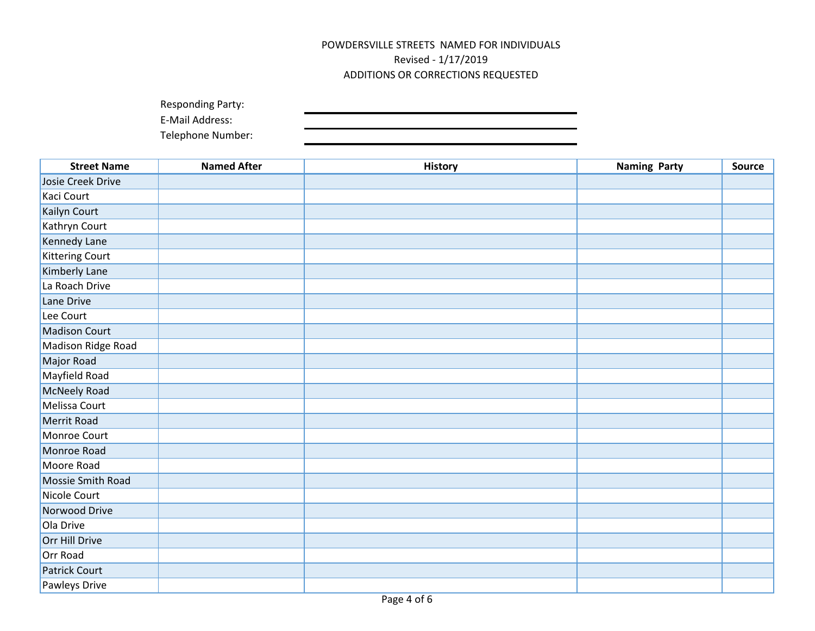| <b>Responding Party:</b> |  |
|--------------------------|--|
| E-Mail Address:          |  |

| <b>Street Name</b>     | <b>Named After</b> | <b>History</b> | <b>Naming Party</b> | <b>Source</b> |
|------------------------|--------------------|----------------|---------------------|---------------|
| Josie Creek Drive      |                    |                |                     |               |
| Kaci Court             |                    |                |                     |               |
| Kailyn Court           |                    |                |                     |               |
| Kathryn Court          |                    |                |                     |               |
| Kennedy Lane           |                    |                |                     |               |
| <b>Kittering Court</b> |                    |                |                     |               |
| Kimberly Lane          |                    |                |                     |               |
| La Roach Drive         |                    |                |                     |               |
| Lane Drive             |                    |                |                     |               |
| Lee Court              |                    |                |                     |               |
| <b>Madison Court</b>   |                    |                |                     |               |
| Madison Ridge Road     |                    |                |                     |               |
| Major Road             |                    |                |                     |               |
| Mayfield Road          |                    |                |                     |               |
| McNeely Road           |                    |                |                     |               |
| Melissa Court          |                    |                |                     |               |
| Merrit Road            |                    |                |                     |               |
| Monroe Court           |                    |                |                     |               |
| Monroe Road            |                    |                |                     |               |
| Moore Road             |                    |                |                     |               |
| Mossie Smith Road      |                    |                |                     |               |
| Nicole Court           |                    |                |                     |               |
| Norwood Drive          |                    |                |                     |               |
| Ola Drive              |                    |                |                     |               |
| Orr Hill Drive         |                    |                |                     |               |
| Orr Road               |                    |                |                     |               |
| <b>Patrick Court</b>   |                    |                |                     |               |
| Pawleys Drive          |                    |                |                     |               |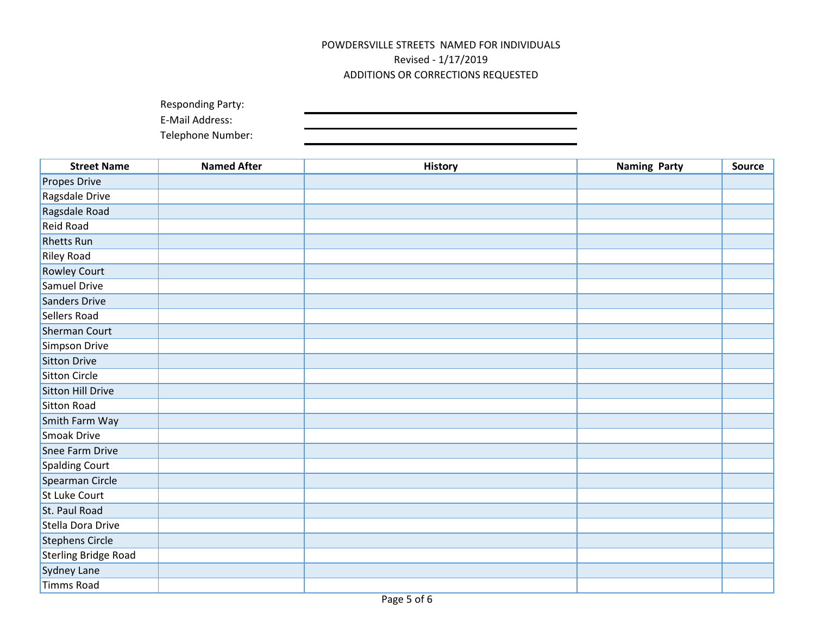| <b>Responding Party:</b> |  |
|--------------------------|--|
| E-Mail Address:          |  |

| <b>Street Name</b>          | <b>Named After</b> | <b>History</b> | <b>Naming Party</b> | <b>Source</b> |
|-----------------------------|--------------------|----------------|---------------------|---------------|
| Propes Drive                |                    |                |                     |               |
| Ragsdale Drive              |                    |                |                     |               |
| Ragsdale Road               |                    |                |                     |               |
| Reid Road                   |                    |                |                     |               |
| <b>Rhetts Run</b>           |                    |                |                     |               |
| <b>Riley Road</b>           |                    |                |                     |               |
| <b>Rowley Court</b>         |                    |                |                     |               |
| Samuel Drive                |                    |                |                     |               |
| Sanders Drive               |                    |                |                     |               |
| Sellers Road                |                    |                |                     |               |
| <b>Sherman Court</b>        |                    |                |                     |               |
| Simpson Drive               |                    |                |                     |               |
| Sitton Drive                |                    |                |                     |               |
| <b>Sitton Circle</b>        |                    |                |                     |               |
| Sitton Hill Drive           |                    |                |                     |               |
| Sitton Road                 |                    |                |                     |               |
| Smith Farm Way              |                    |                |                     |               |
| Smoak Drive                 |                    |                |                     |               |
| Snee Farm Drive             |                    |                |                     |               |
| Spalding Court              |                    |                |                     |               |
| Spearman Circle             |                    |                |                     |               |
| St Luke Court               |                    |                |                     |               |
| St. Paul Road               |                    |                |                     |               |
| Stella Dora Drive           |                    |                |                     |               |
| Stephens Circle             |                    |                |                     |               |
| <b>Sterling Bridge Road</b> |                    |                |                     |               |
| Sydney Lane                 |                    |                |                     |               |
| Timms Road                  |                    |                |                     |               |